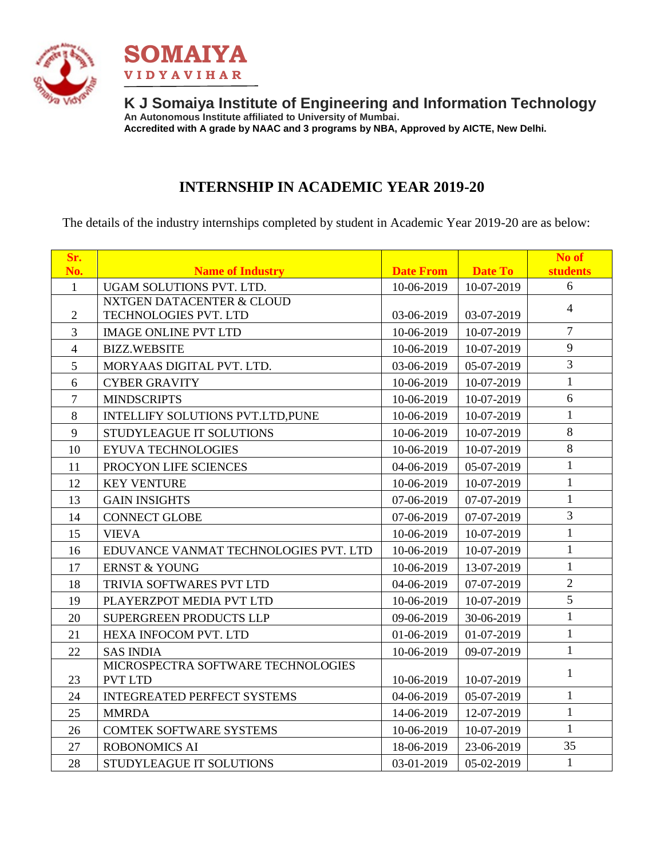



**K J Somaiya Institute of Engineering and Information Technology An Autonomous Institute affiliated to University of Mumbai. Accredited with A grade by NAAC and 3 programs by NBA, Approved by AICTE, New Delhi.**

### **INTERNSHIP IN ACADEMIC YEAR 2019-20**

The details of the industry internships completed by student in Academic Year 2019-20 are as below:

| Sr.            |                                       |                  |                | No of           |
|----------------|---------------------------------------|------------------|----------------|-----------------|
| No.            | <b>Name of Industry</b>               | <b>Date From</b> | <b>Date To</b> | <b>students</b> |
| $\mathbf{1}$   | UGAM SOLUTIONS PVT. LTD.              | 10-06-2019       | 10-07-2019     | 6               |
|                | <b>NXTGEN DATACENTER &amp; CLOUD</b>  |                  |                | $\overline{4}$  |
| $\mathbf{2}$   | TECHNOLOGIES PVT. LTD                 | 03-06-2019       | 03-07-2019     |                 |
| 3              | <b>IMAGE ONLINE PVT LTD</b>           | 10-06-2019       | 10-07-2019     | $\overline{7}$  |
| $\overline{4}$ | <b>BIZZ.WEBSITE</b>                   | 10-06-2019       | 10-07-2019     | 9               |
| 5              | MORYAAS DIGITAL PVT. LTD.             | 03-06-2019       | 05-07-2019     | $\overline{3}$  |
| 6              | <b>CYBER GRAVITY</b>                  | 10-06-2019       | 10-07-2019     | $\mathbf{1}$    |
| $\overline{7}$ | <b>MINDSCRIPTS</b>                    | 10-06-2019       | 10-07-2019     | 6               |
| 8              | INTELLIFY SOLUTIONS PVT.LTD, PUNE     | 10-06-2019       | 10-07-2019     | $\mathbf{1}$    |
| 9              | STUDYLEAGUE IT SOLUTIONS              | 10-06-2019       | 10-07-2019     | $8\,$           |
| 10             | <b>EYUVA TECHNOLOGIES</b>             | 10-06-2019       | 10-07-2019     | 8               |
| 11             | PROCYON LIFE SCIENCES                 | 04-06-2019       | 05-07-2019     | $\mathbf{1}$    |
| 12             | <b>KEY VENTURE</b>                    | 10-06-2019       | 10-07-2019     | $\mathbf{1}$    |
| 13             | <b>GAIN INSIGHTS</b>                  | 07-06-2019       | 07-07-2019     | $\mathbf{1}$    |
| 14             | <b>CONNECT GLOBE</b>                  | 07-06-2019       | 07-07-2019     | 3               |
| 15             | <b>VIEVA</b>                          | 10-06-2019       | 10-07-2019     | $\mathbf{1}$    |
| 16             | EDUVANCE VANMAT TECHNOLOGIES PVT. LTD | 10-06-2019       | 10-07-2019     | $\mathbf{1}$    |
| 17             | <b>ERNST &amp; YOUNG</b>              | 10-06-2019       | 13-07-2019     | $\mathbf{1}$    |
| 18             | TRIVIA SOFTWARES PVT LTD              | 04-06-2019       | 07-07-2019     | $\overline{2}$  |
| 19             | PLAYERZPOT MEDIA PVT LTD              | 10-06-2019       | 10-07-2019     | 5               |
| 20             | SUPERGREEN PRODUCTS LLP               | 09-06-2019       | 30-06-2019     | $\mathbf{1}$    |
| 21             | HEXA INFOCOM PVT. LTD                 | 01-06-2019       | 01-07-2019     | $\mathbf{1}$    |
| 22             | <b>SAS INDIA</b>                      | 10-06-2019       | 09-07-2019     | $\mathbf{1}$    |
|                | MICROSPECTRA SOFTWARE TECHNOLOGIES    |                  |                | $\mathbf{1}$    |
| 23             | <b>PVT LTD</b>                        | 10-06-2019       | 10-07-2019     |                 |
| 24             | <b>INTEGREATED PERFECT SYSTEMS</b>    | 04-06-2019       | 05-07-2019     | $\mathbf{1}$    |
| 25             | <b>MMRDA</b>                          | 14-06-2019       | 12-07-2019     | $\mathbf{1}$    |
| 26             | <b>COMTEK SOFTWARE SYSTEMS</b>        | 10-06-2019       | 10-07-2019     | $\mathbf{1}$    |
| 27             | <b>ROBONOMICS AI</b>                  | 18-06-2019       | 23-06-2019     | 35              |
| 28             | STUDYLEAGUE IT SOLUTIONS              | 03-01-2019       | 05-02-2019     | $\mathbf{1}$    |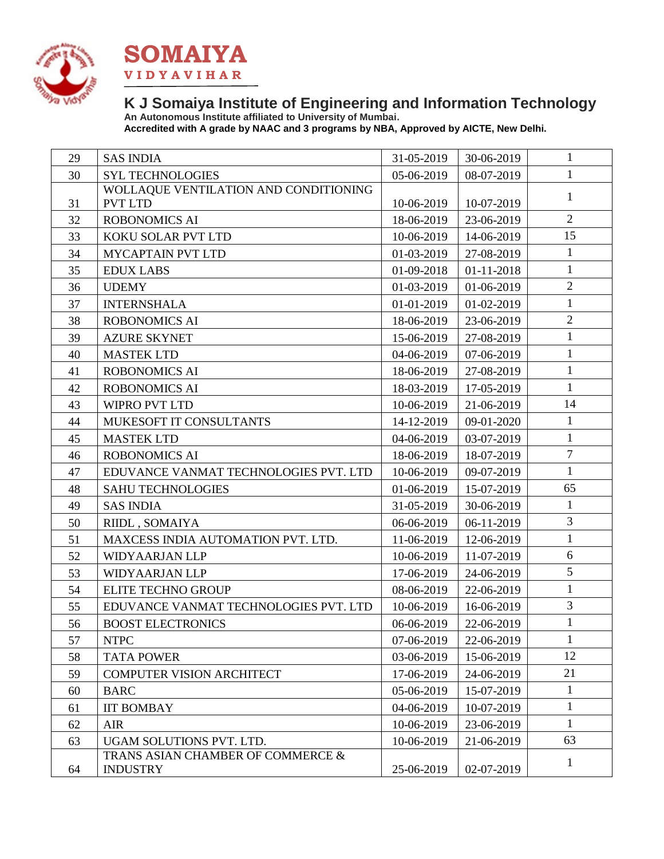



### **K J Somaiya Institute of Engineering and Information Technology An Autonomous Institute affiliated to University of Mumbai.**

**Accredited with A grade by NAAC and 3 programs by NBA, Approved by AICTE, New Delhi.**

| 29 | <b>SAS INDIA</b>                      | 31-05-2019 | 30-06-2019 | 1              |
|----|---------------------------------------|------------|------------|----------------|
| 30 | <b>SYL TECHNOLOGIES</b>               | 05-06-2019 | 08-07-2019 | $\mathbf{1}$   |
|    | WOLLAQUE VENTILATION AND CONDITIONING |            |            | $\mathbf{1}$   |
| 31 | <b>PVT LTD</b>                        | 10-06-2019 | 10-07-2019 | $\overline{2}$ |
| 32 | <b>ROBONOMICS AI</b>                  | 18-06-2019 | 23-06-2019 | 15             |
| 33 | KOKU SOLAR PVT LTD                    | 10-06-2019 | 14-06-2019 |                |
| 34 | <b>MYCAPTAIN PVT LTD</b>              | 01-03-2019 | 27-08-2019 | $\mathbf{1}$   |
| 35 | <b>EDUX LABS</b>                      | 01-09-2018 | 01-11-2018 | $\mathbf{1}$   |
| 36 | <b>UDEMY</b>                          | 01-03-2019 | 01-06-2019 | $\overline{2}$ |
| 37 | <b>INTERNSHALA</b>                    | 01-01-2019 | 01-02-2019 | $\mathbf{1}$   |
| 38 | <b>ROBONOMICS AI</b>                  | 18-06-2019 | 23-06-2019 | $\sqrt{2}$     |
| 39 | <b>AZURE SKYNET</b>                   | 15-06-2019 | 27-08-2019 | $\mathbf{1}$   |
| 40 | <b>MASTEK LTD</b>                     | 04-06-2019 | 07-06-2019 | $\mathbf{1}$   |
| 41 | <b>ROBONOMICS AI</b>                  | 18-06-2019 | 27-08-2019 | $\mathbf{1}$   |
| 42 | <b>ROBONOMICS AI</b>                  | 18-03-2019 | 17-05-2019 | $\mathbf{1}$   |
| 43 | WIPRO PVT LTD                         | 10-06-2019 | 21-06-2019 | 14             |
| 44 | MUKESOFT IT CONSULTANTS               | 14-12-2019 | 09-01-2020 | $\mathbf{1}$   |
| 45 | <b>MASTEK LTD</b>                     | 04-06-2019 | 03-07-2019 | $\mathbf{1}$   |
| 46 | <b>ROBONOMICS AI</b>                  | 18-06-2019 | 18-07-2019 | $\overline{7}$ |
| 47 | EDUVANCE VANMAT TECHNOLOGIES PVT. LTD | 10-06-2019 | 09-07-2019 | $\mathbf{1}$   |
| 48 | <b>SAHU TECHNOLOGIES</b>              | 01-06-2019 | 15-07-2019 | 65             |
| 49 | <b>SAS INDIA</b>                      | 31-05-2019 | 30-06-2019 | $\mathbf{1}$   |
| 50 | RIIDL, SOMAIYA                        | 06-06-2019 | 06-11-2019 | 3              |
| 51 | MAXCESS INDIA AUTOMATION PVT. LTD.    | 11-06-2019 | 12-06-2019 | $\mathbf{1}$   |
| 52 | <b>WIDYAARJAN LLP</b>                 | 10-06-2019 | 11-07-2019 | 6              |
| 53 | <b>WIDYAARJAN LLP</b>                 | 17-06-2019 | 24-06-2019 | 5              |
| 54 | <b>ELITE TECHNO GROUP</b>             | 08-06-2019 | 22-06-2019 | $\mathbf{1}$   |
| 55 | EDUVANCE VANMAT TECHNOLOGIES PVT. LTD | 10-06-2019 | 16-06-2019 | $\overline{3}$ |
| 56 | <b>BOOST ELECTRONICS</b>              | 06-06-2019 | 22-06-2019 | $\mathbf{1}$   |
| 57 | <b>NTPC</b>                           | 07-06-2019 | 22-06-2019 | 1              |
| 58 | <b>TATA POWER</b>                     | 03-06-2019 | 15-06-2019 | 12             |
| 59 | <b>COMPUTER VISION ARCHITECT</b>      | 17-06-2019 | 24-06-2019 | 21             |
| 60 | <b>BARC</b>                           | 05-06-2019 | 15-07-2019 | $\mathbf{1}$   |
| 61 | <b>IIT BOMBAY</b>                     | 04-06-2019 | 10-07-2019 | 1              |
| 62 | <b>AIR</b>                            | 10-06-2019 | 23-06-2019 | 1              |
| 63 | UGAM SOLUTIONS PVT. LTD.              | 10-06-2019 | 21-06-2019 | 63             |
|    | TRANS ASIAN CHAMBER OF COMMERCE &     |            |            |                |
| 64 | <b>INDUSTRY</b>                       | 25-06-2019 | 02-07-2019 | 1              |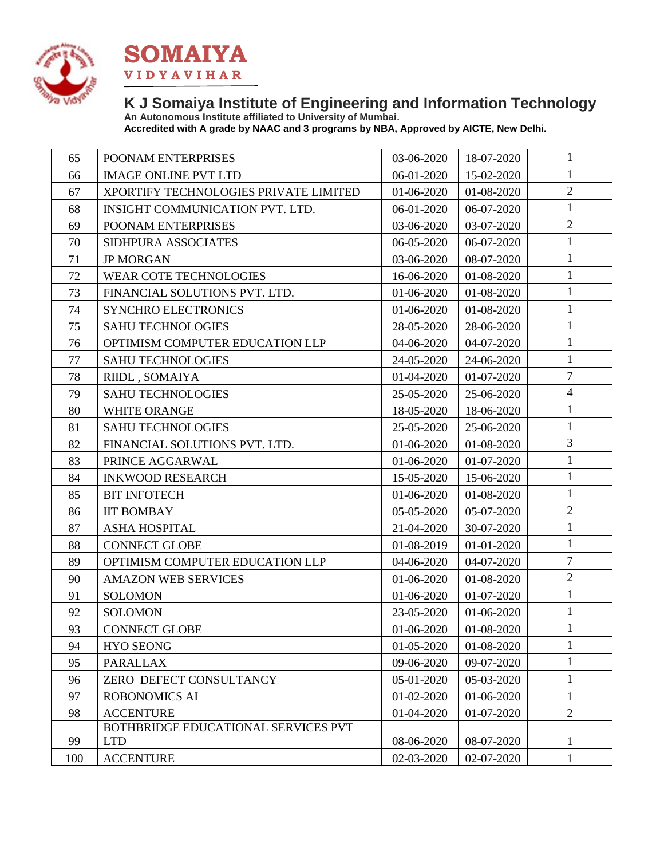



### **K J Somaiya Institute of Engineering and Information Technology An Autonomous Institute affiliated to University of Mumbai.**

**Accredited with A grade by NAAC and 3 programs by NBA, Approved by AICTE, New Delhi.**

| 65  | POONAM ENTERPRISES                    | 03-06-2020 | 18-07-2020 | $\mathbf{1}$   |
|-----|---------------------------------------|------------|------------|----------------|
| 66  | <b>IMAGE ONLINE PVT LTD</b>           | 06-01-2020 | 15-02-2020 | $\mathbf{1}$   |
| 67  | XPORTIFY TECHNOLOGIES PRIVATE LIMITED | 01-06-2020 | 01-08-2020 | $\overline{2}$ |
| 68  | INSIGHT COMMUNICATION PVT. LTD.       | 06-01-2020 | 06-07-2020 | $\mathbf{1}$   |
| 69  | POONAM ENTERPRISES                    | 03-06-2020 | 03-07-2020 | $\overline{2}$ |
| 70  | SIDHPURA ASSOCIATES                   | 06-05-2020 | 06-07-2020 | $\mathbf{1}$   |
| 71  | <b>JP MORGAN</b>                      | 03-06-2020 | 08-07-2020 | $\mathbf{1}$   |
| 72  | <b>WEAR COTE TECHNOLOGIES</b>         | 16-06-2020 | 01-08-2020 | $\mathbf{1}$   |
| 73  | FINANCIAL SOLUTIONS PVT. LTD.         | 01-06-2020 | 01-08-2020 | $\mathbf{1}$   |
| 74  | <b>SYNCHRO ELECTRONICS</b>            | 01-06-2020 | 01-08-2020 | $\mathbf{1}$   |
| 75  | <b>SAHU TECHNOLOGIES</b>              | 28-05-2020 | 28-06-2020 | $\mathbf{1}$   |
| 76  | OPTIMISM COMPUTER EDUCATION LLP       | 04-06-2020 | 04-07-2020 | $\mathbf{1}$   |
| 77  | <b>SAHU TECHNOLOGIES</b>              | 24-05-2020 | 24-06-2020 | $\mathbf{1}$   |
| 78  | RIIDL , SOMAIYA                       | 01-04-2020 | 01-07-2020 | $\overline{7}$ |
| 79  | <b>SAHU TECHNOLOGIES</b>              | 25-05-2020 | 25-06-2020 | $\overline{4}$ |
| 80  | WHITE ORANGE                          | 18-05-2020 | 18-06-2020 | $\mathbf{1}$   |
| 81  | <b>SAHU TECHNOLOGIES</b>              | 25-05-2020 | 25-06-2020 | $\mathbf{1}$   |
| 82  | FINANCIAL SOLUTIONS PVT. LTD.         | 01-06-2020 | 01-08-2020 | $\overline{3}$ |
| 83  | PRINCE AGGARWAL                       | 01-06-2020 | 01-07-2020 | $\mathbf{1}$   |
| 84  | <b>INKWOOD RESEARCH</b>               | 15-05-2020 | 15-06-2020 | $\mathbf{1}$   |
| 85  | <b>BIT INFOTECH</b>                   | 01-06-2020 | 01-08-2020 | $\mathbf{1}$   |
| 86  | <b>IIT BOMBAY</b>                     | 05-05-2020 | 05-07-2020 | $\overline{2}$ |
| 87  | <b>ASHA HOSPITAL</b>                  | 21-04-2020 | 30-07-2020 | $\mathbf{1}$   |
| 88  | <b>CONNECT GLOBE</b>                  | 01-08-2019 | 01-01-2020 | $\mathbf{1}$   |
| 89  | OPTIMISM COMPUTER EDUCATION LLP       | 04-06-2020 | 04-07-2020 | $\overline{7}$ |
| 90  | <b>AMAZON WEB SERVICES</b>            | 01-06-2020 | 01-08-2020 | $\overline{2}$ |
| 91  | <b>SOLOMON</b>                        | 01-06-2020 | 01-07-2020 | $\mathbf{1}$   |
| 92  | <b>SOLOMON</b>                        | 23-05-2020 | 01-06-2020 | $\mathbf{1}$   |
| 93  | <b>CONNECT GLOBE</b>                  | 01-06-2020 | 01-08-2020 | $\mathbf{1}$   |
| 94  | <b>HYO SEONG</b>                      | 01-05-2020 | 01-08-2020 | $\mathbf{1}$   |
| 95  | <b>PARALLAX</b>                       | 09-06-2020 | 09-07-2020 | $\mathbf{1}$   |
| 96  | ZERO DEFECT CONSULTANCY               | 05-01-2020 | 05-03-2020 | $\mathbf{1}$   |
| 97  | ROBONOMICS AI                         | 01-02-2020 | 01-06-2020 | $\mathbf{1}$   |
| 98  | <b>ACCENTURE</b>                      | 01-04-2020 | 01-07-2020 | $\overline{2}$ |
|     | BOTHBRIDGE EDUCATIONAL SERVICES PVT   |            |            |                |
| 99  | <b>LTD</b>                            | 08-06-2020 | 08-07-2020 | $\mathbf{1}$   |
| 100 | <b>ACCENTURE</b>                      | 02-03-2020 | 02-07-2020 | 1              |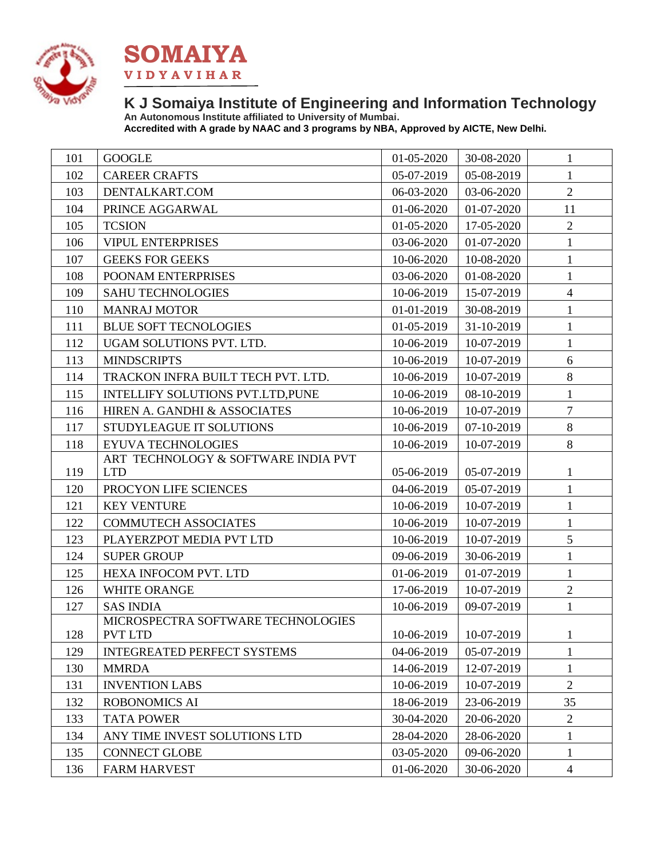



# **K J Somaiya Institute of Engineering and Information Technology**

**An Autonomous Institute affiliated to University of Mumbai. Accredited with A grade by NAAC and 3 programs by NBA, Approved by AICTE, New Delhi.**

| 101 | <b>GOOGLE</b>                                     | 01-05-2020 | 30-08-2020                | 1              |
|-----|---------------------------------------------------|------------|---------------------------|----------------|
| 102 | <b>CAREER CRAFTS</b>                              | 05-07-2019 | 05-08-2019                | $\mathbf{1}$   |
| 103 | DENTALKART.COM                                    | 06-03-2020 | 03-06-2020                | $\overline{2}$ |
| 104 | PRINCE AGGARWAL                                   | 01-06-2020 | 01-07-2020                | 11             |
| 105 | <b>TCSION</b>                                     | 01-05-2020 | 17-05-2020                | $\overline{2}$ |
| 106 | <b>VIPUL ENTERPRISES</b>                          | 03-06-2020 | 01-07-2020                | $\mathbf{1}$   |
| 107 | <b>GEEKS FOR GEEKS</b>                            | 10-06-2020 | 10-08-2020                | $\mathbf{1}$   |
| 108 | POONAM ENTERPRISES                                | 03-06-2020 | 01-08-2020                | $\mathbf{1}$   |
| 109 | <b>SAHU TECHNOLOGIES</b>                          | 10-06-2019 | 15-07-2019                | $\overline{4}$ |
| 110 | <b>MANRAJ MOTOR</b>                               | 01-01-2019 | 30-08-2019                | $\mathbf{1}$   |
| 111 | <b>BLUE SOFT TECNOLOGIES</b>                      | 01-05-2019 | 31-10-2019                | $\mathbf{1}$   |
| 112 | UGAM SOLUTIONS PVT. LTD.                          | 10-06-2019 | 10-07-2019                | $\mathbf{1}$   |
| 113 | <b>MINDSCRIPTS</b>                                | 10-06-2019 | 10-07-2019                | 6              |
| 114 | TRACKON INFRA BUILT TECH PVT. LTD.                | 10-06-2019 | 10-07-2019                | 8              |
| 115 | INTELLIFY SOLUTIONS PVT.LTD, PUNE                 | 10-06-2019 | 08-10-2019                | $\mathbf{1}$   |
| 116 | HIREN A. GANDHI & ASSOCIATES                      | 10-06-2019 | 10-07-2019                | $\overline{7}$ |
| 117 | <b>STUDYLEAGUE IT SOLUTIONS</b>                   | 10-06-2019 | 07-10-2019                | $8\,$          |
| 118 | EYUVA TECHNOLOGIES                                | 10-06-2019 | 10-07-2019                | 8              |
| 119 | ART TECHNOLOGY & SOFTWARE INDIA PVT<br><b>LTD</b> | 05-06-2019 | 05-07-2019                | 1              |
| 120 | PROCYON LIFE SCIENCES                             | 04-06-2019 | 05-07-2019                | $\mathbf{1}$   |
| 121 | <b>KEY VENTURE</b>                                | 10-06-2019 | 10-07-2019                | $\mathbf{1}$   |
| 122 | <b>COMMUTECH ASSOCIATES</b>                       | 10-06-2019 | 10-07-2019                | $\mathbf{1}$   |
| 123 | PLAYERZPOT MEDIA PVT LTD                          | 10-06-2019 | 10-07-2019                | 5              |
| 124 | <b>SUPER GROUP</b>                                | 09-06-2019 | 30-06-2019                | $\mathbf{1}$   |
| 125 | HEXA INFOCOM PVT. LTD                             | 01-06-2019 | 01-07-2019                | $\mathbf{1}$   |
| 126 | <b>WHITE ORANGE</b>                               | 17-06-2019 | 10-07-2019                | $\overline{2}$ |
| 127 | <b>SAS INDIA</b>                                  | 10-06-2019 | 09-07-2019                | $\mathbf{1}$   |
|     | MICROSPECTRA SOFTWARE TECHNOLOGIES                |            |                           |                |
| 128 | PVT LTD                                           |            | $10-06-2019$   10-07-2019 | $\mathbf{1}$   |
| 129 | <b>INTEGREATED PERFECT SYSTEMS</b>                | 04-06-2019 | 05-07-2019                | 1              |
| 130 | <b>MMRDA</b>                                      | 14-06-2019 | 12-07-2019                | 1              |
| 131 | <b>INVENTION LABS</b>                             | 10-06-2019 | 10-07-2019                | $\overline{2}$ |
| 132 | <b>ROBONOMICS AI</b>                              | 18-06-2019 | 23-06-2019                | 35             |
| 133 | <b>TATA POWER</b>                                 | 30-04-2020 | 20-06-2020                | $\overline{2}$ |
| 134 | ANY TIME INVEST SOLUTIONS LTD                     | 28-04-2020 | 28-06-2020                | 1              |
| 135 | <b>CONNECT GLOBE</b>                              | 03-05-2020 | 09-06-2020                | $\mathbf{1}$   |
| 136 | <b>FARM HARVEST</b>                               | 01-06-2020 | 30-06-2020                | $\overline{4}$ |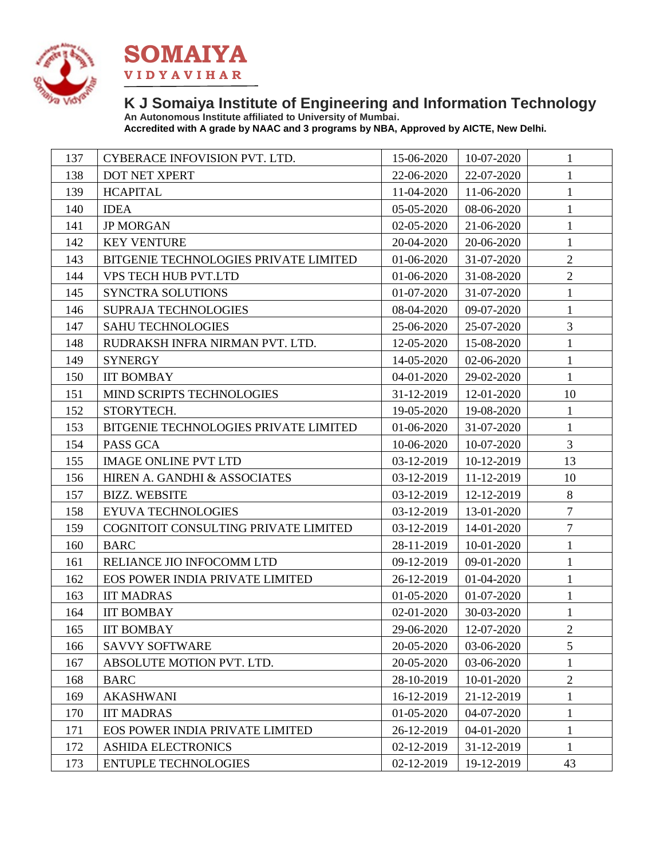



### **K J Somaiya Institute of Engineering and Information Technology An Autonomous Institute affiliated to University of Mumbai.**

**Accredited with A grade by NAAC and 3 programs by NBA, Approved by AICTE, New Delhi.**

| 137 | CYBERACE INFOVISION PVT. LTD.         | 15-06-2020 | 10-07-2020 | 1              |
|-----|---------------------------------------|------------|------------|----------------|
| 138 | DOT NET XPERT                         | 22-06-2020 | 22-07-2020 | $\mathbf{1}$   |
| 139 | <b>HCAPITAL</b>                       | 11-04-2020 | 11-06-2020 | $\mathbf{1}$   |
| 140 | <b>IDEA</b>                           | 05-05-2020 | 08-06-2020 | $\mathbf{1}$   |
| 141 | <b>JP MORGAN</b>                      | 02-05-2020 | 21-06-2020 | $\mathbf{1}$   |
| 142 | <b>KEY VENTURE</b>                    | 20-04-2020 | 20-06-2020 | $\mathbf{1}$   |
| 143 | BITGENIE TECHNOLOGIES PRIVATE LIMITED | 01-06-2020 | 31-07-2020 | $\overline{2}$ |
| 144 | VPS TECH HUB PVT.LTD                  | 01-06-2020 | 31-08-2020 | $\overline{2}$ |
| 145 | SYNCTRA SOLUTIONS                     | 01-07-2020 | 31-07-2020 | $\mathbf{1}$   |
| 146 | <b>SUPRAJA TECHNOLOGIES</b>           | 08-04-2020 | 09-07-2020 | $\mathbf{1}$   |
| 147 | <b>SAHU TECHNOLOGIES</b>              | 25-06-2020 | 25-07-2020 | 3              |
| 148 | RUDRAKSH INFRA NIRMAN PVT. LTD.       | 12-05-2020 | 15-08-2020 | $\mathbf{1}$   |
| 149 | <b>SYNERGY</b>                        | 14-05-2020 | 02-06-2020 | $\mathbf{1}$   |
| 150 | <b>IIT BOMBAY</b>                     | 04-01-2020 | 29-02-2020 | $\mathbf{1}$   |
| 151 | MIND SCRIPTS TECHNOLOGIES             | 31-12-2019 | 12-01-2020 | 10             |
| 152 | STORYTECH.                            | 19-05-2020 | 19-08-2020 | $\mathbf{1}$   |
| 153 | BITGENIE TECHNOLOGIES PRIVATE LIMITED | 01-06-2020 | 31-07-2020 | $\mathbf{1}$   |
| 154 | PASS GCA                              | 10-06-2020 | 10-07-2020 | 3              |
| 155 | <b>IMAGE ONLINE PVT LTD</b>           | 03-12-2019 | 10-12-2019 | 13             |
| 156 | HIREN A. GANDHI & ASSOCIATES          | 03-12-2019 | 11-12-2019 | 10             |
| 157 | <b>BIZZ. WEBSITE</b>                  | 03-12-2019 | 12-12-2019 | $8\,$          |
| 158 | EYUVA TECHNOLOGIES                    | 03-12-2019 | 13-01-2020 | $\overline{7}$ |
| 159 | COGNITOIT CONSULTING PRIVATE LIMITED  | 03-12-2019 | 14-01-2020 | $\tau$         |
| 160 | <b>BARC</b>                           | 28-11-2019 | 10-01-2020 | $\mathbf{1}$   |
| 161 | RELIANCE JIO INFOCOMM LTD             | 09-12-2019 | 09-01-2020 | $\mathbf{1}$   |
| 162 | EOS POWER INDIA PRIVATE LIMITED       | 26-12-2019 | 01-04-2020 | $\mathbf{1}$   |
| 163 | <b>IIT MADRAS</b>                     | 01-05-2020 | 01-07-2020 | $\mathbf{1}$   |
| 164 | <b>IIT BOMBAY</b>                     | 02-01-2020 | 30-03-2020 | $\mathbf{1}$   |
| 165 | <b>IIT BOMBAY</b>                     | 29-06-2020 | 12-07-2020 | $\overline{2}$ |
| 166 | <b>SAVVY SOFTWARE</b>                 | 20-05-2020 | 03-06-2020 | 5              |
| 167 | ABSOLUTE MOTION PVT. LTD.             | 20-05-2020 | 03-06-2020 | $\mathbf{1}$   |
| 168 | <b>BARC</b>                           | 28-10-2019 | 10-01-2020 | $\overline{2}$ |
| 169 | <b>AKASHWANI</b>                      | 16-12-2019 | 21-12-2019 | $\mathbf{1}$   |
| 170 | <b>IIT MADRAS</b>                     | 01-05-2020 | 04-07-2020 | 1              |
| 171 | EOS POWER INDIA PRIVATE LIMITED       | 26-12-2019 | 04-01-2020 | $\mathbf{1}$   |
| 172 | <b>ASHIDA ELECTRONICS</b>             | 02-12-2019 | 31-12-2019 | $\mathbf{1}$   |
| 173 | <b>ENTUPLE TECHNOLOGIES</b>           | 02-12-2019 | 19-12-2019 | 43             |